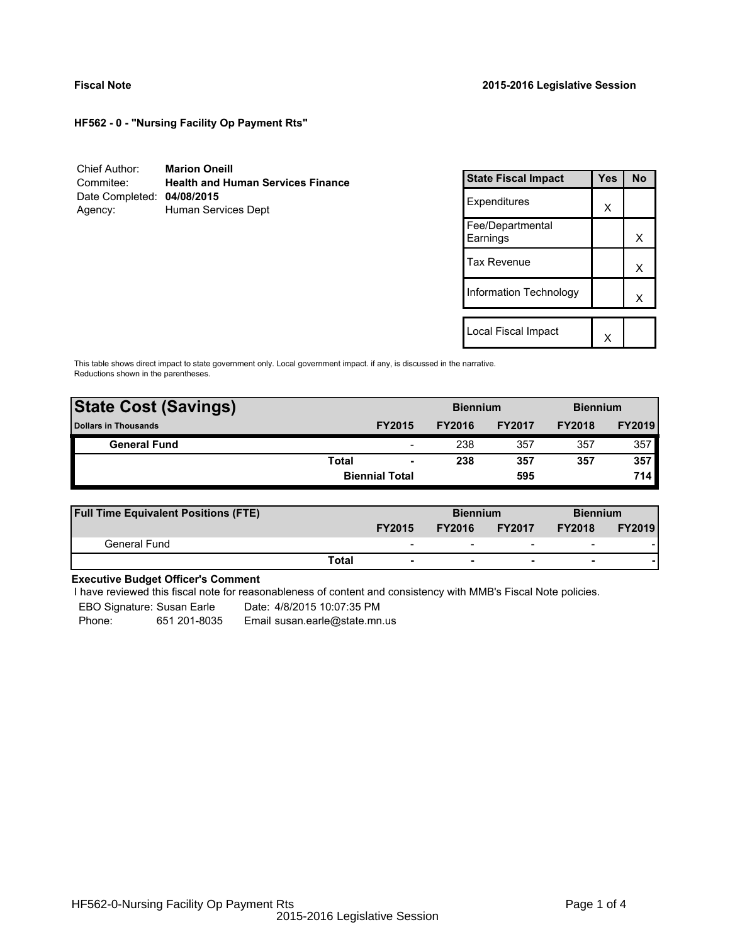**HF562 - 0 - "Nursing Facility Op Payment Rts"**

| Chief Author:              | <b>Marion Oneill</b>                     |
|----------------------------|------------------------------------------|
| Commitee:                  | <b>Health and Human Services Finance</b> |
| Date Completed: 04/08/2015 |                                          |
| Agency:                    | Human Services Dept                      |

| <b>State Fiscal Impact</b>   | Yes | N٥ |
|------------------------------|-----|----|
| Expenditures                 | x   |    |
| Fee/Departmental<br>Earnings |     | x  |
| <b>Tax Revenue</b>           |     | x  |
| Information Technology       |     | x  |
| Local Fiscal Impact          |     |    |
|                              |     |    |

This table shows direct impact to state government only. Local government impact. if any, is discussed in the narrative. Reductions shown in the parentheses.

| <b>State Cost (Savings)</b> |              |                          | <b>Biennium</b> |               | <b>Biennium</b> |               |  |
|-----------------------------|--------------|--------------------------|-----------------|---------------|-----------------|---------------|--|
| <b>Dollars in Thousands</b> |              | <b>FY2015</b>            | <b>FY2016</b>   | <b>FY2017</b> | <b>FY2018</b>   | <b>FY2019</b> |  |
| <b>General Fund</b>         |              | $\overline{\phantom{a}}$ | 238             | 357           | 357             | 357           |  |
|                             | <b>Total</b> | $\blacksquare$           | 238             | 357           | 357             | 357           |  |
|                             |              | <b>Biennial Total</b>    | 595             |               |                 | 714           |  |
|                             |              |                          |                 |               |                 |               |  |

| <b>Full Time Equivalent Positions (FTE)</b> |                          | <b>Biennium</b> |                          | <b>Biennium</b>          |               |
|---------------------------------------------|--------------------------|-----------------|--------------------------|--------------------------|---------------|
|                                             | <b>FY2015</b>            | <b>FY2016</b>   | <b>FY2017</b>            | <b>FY2018</b>            | <b>FY2019</b> |
| General Fund                                | $\overline{\phantom{0}}$ | -               | $\overline{\phantom{0}}$ | $\overline{\phantom{0}}$ |               |
|                                             | Total                    |                 |                          | -                        |               |

# **Executive Budget Officer's Comment**

I have reviewed this fiscal note for reasonableness of content and consistency with MMB's Fiscal Note policies.

EBO Signature: Susan Earle Date: 4/8/2015 10:07:35 PM

Phone: 651 201-8035 Email susan.earle@state.mn.us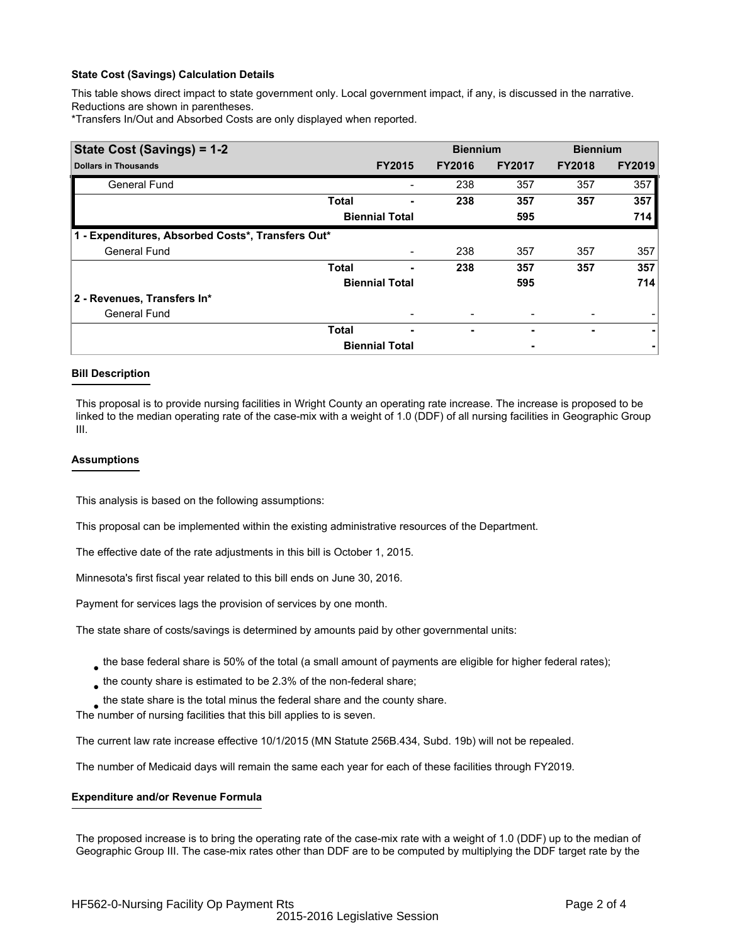# **State Cost (Savings) Calculation Details**

This table shows direct impact to state government only. Local government impact, if any, is discussed in the narrative. Reductions are shown in parentheses.

\*Transfers In/Out and Absorbed Costs are only displayed when reported.

| State Cost (Savings) = 1-2                        |                       |                          | <b>Biennium</b> |               | <b>Biennium</b> |               |  |
|---------------------------------------------------|-----------------------|--------------------------|-----------------|---------------|-----------------|---------------|--|
| <b>Dollars in Thousands</b>                       |                       | <b>FY2015</b>            | <b>FY2016</b>   | <b>FY2017</b> | <b>FY2018</b>   | <b>FY2019</b> |  |
| <b>General Fund</b>                               |                       |                          | 238             | 357           | 357             | 357           |  |
|                                                   | <b>Total</b>          |                          | 238             | 357           | 357             | 357           |  |
|                                                   |                       | <b>Biennial Total</b>    |                 | 595           |                 | 714           |  |
| 1 - Expenditures, Absorbed Costs*, Transfers Out* |                       |                          |                 |               |                 |               |  |
| <b>General Fund</b>                               |                       |                          | 238             | 357           | 357             | 357           |  |
|                                                   | <b>Total</b>          | ۰                        | 238             | 357           | 357             | 357           |  |
|                                                   | <b>Biennial Total</b> |                          |                 | 595           |                 | 714           |  |
| 2 - Revenues, Transfers In*                       |                       |                          |                 |               |                 |               |  |
| <b>General Fund</b>                               |                       |                          |                 |               |                 |               |  |
|                                                   | <b>Total</b>          | $\overline{\phantom{0}}$ | ۰               |               | ۰               | ۰             |  |
|                                                   |                       | <b>Biennial Total</b>    |                 | ۰             |                 |               |  |

# **Bill Description**

This proposal is to provide nursing facilities in Wright County an operating rate increase. The increase is proposed to be linked to the median operating rate of the case-mix with a weight of 1.0 (DDF) of all nursing facilities in Geographic Group III.

# **Assumptions**

This analysis is based on the following assumptions:

This proposal can be implemented within the existing administrative resources of the Department.

The effective date of the rate adjustments in this bill is October 1, 2015.

Minnesota's first fiscal year related to this bill ends on June 30, 2016.

Payment for services lags the provision of services by one month.

The state share of costs/savings is determined by amounts paid by other governmental units:

- $_{\bullet}$  the base federal share is 50% of the total (a small amount of payments are eligible for higher federal rates);
- $_{\bullet}$  the county share is estimated to be 2.3% of the non-federal share;
- $_{\bullet}$  the state share is the total minus the federal share and the county share.

The number of nursing facilities that this bill applies to is seven.

The current law rate increase effective 10/1/2015 (MN Statute 256B.434, Subd. 19b) will not be repealed.

The number of Medicaid days will remain the same each year for each of these facilities through FY2019.

# **Expenditure and/or Revenue Formula**

The proposed increase is to bring the operating rate of the case-mix rate with a weight of 1.0 (DDF) up to the median of Geographic Group III. The case-mix rates other than DDF are to be computed by multiplying the DDF target rate by the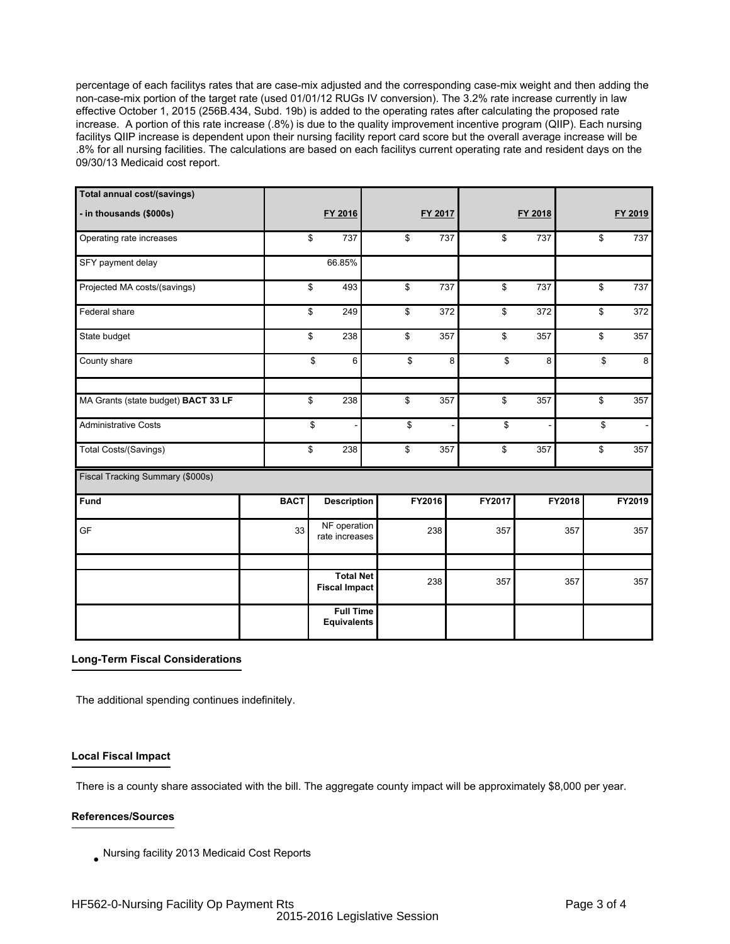percentage of each facilitys rates that are case-mix adjusted and the corresponding case-mix weight and then adding the non-case-mix portion of the target rate (used 01/01/12 RUGs IV conversion). The 3.2% rate increase currently in law effective October 1, 2015 (256B.434, Subd. 19b) is added to the operating rates after calculating the proposed rate increase. A portion of this rate increase (.8%) is due to the quality improvement incentive program (QIIP). Each nursing facilitys QIIP increase is dependent upon their nursing facility report card score but the overall average increase will be .8% for all nursing facilities. The calculations are based on each facilitys current operating rate and resident days on the 09/30/13 Medicaid cost report.

| Total annual cost/(savings)         |             |                                          |           |         |         |        |                                |
|-------------------------------------|-------------|------------------------------------------|-----------|---------|---------|--------|--------------------------------|
| - in thousands (\$000s)             |             | FY 2016                                  | FY 2017   |         | FY 2018 |        | FY 2019                        |
| Operating rate increases            |             | 737<br>\$                                | \$<br>737 | \$      | 737     |        | \$<br>737                      |
| SFY payment delay                   |             | 66.85%                                   |           |         |         |        |                                |
| Projected MA costs/(savings)        |             | \$<br>493                                | \$<br>737 | \$      | 737     |        | \$<br>737                      |
| Federal share                       |             | \$<br>249                                | \$<br>372 | \$      | 372     |        | \$<br>372                      |
| State budget                        |             | \$<br>238                                | \$<br>357 | \$      | 357     |        | \$<br>357                      |
| County share                        |             | \$<br>6                                  | \$        | 8<br>\$ | 8       |        | \$<br>8                        |
| MA Grants (state budget) BACT 33 LF |             | \$<br>238                                | \$<br>357 | \$      | 357     |        | \$<br>357                      |
| <b>Administrative Costs</b>         |             | \$                                       | \$        | \$      |         |        | \$<br>$\overline{\phantom{a}}$ |
| Total Costs/(Savings)               |             | \$<br>238                                | \$<br>357 | \$      | 357     |        | \$<br>357                      |
| Fiscal Tracking Summary (\$000s)    |             |                                          |           |         |         |        |                                |
| <b>Fund</b>                         | <b>BACT</b> | <b>Description</b>                       | FY2016    | FY2017  |         | FY2018 | FY2019                         |
| GF                                  | 33          | NF operation<br>rate increases           | 238       | 357     |         | 357    | 357                            |
|                                     |             |                                          |           |         |         |        |                                |
|                                     |             | <b>Total Net</b><br><b>Fiscal Impact</b> | 238       | 357     |         | 357    | 357                            |
|                                     |             | <b>Full Time</b><br><b>Equivalents</b>   |           |         |         |        |                                |

# **Long-Term Fiscal Considerations**

The additional spending continues indefinitely.

# **Local Fiscal Impact**

There is a county share associated with the bill. The aggregate county impact will be approximately \$8,000 per year.

# **References/Sources**

 $_{\bullet}$  Nursing facility 2013 Medicaid Cost Reports